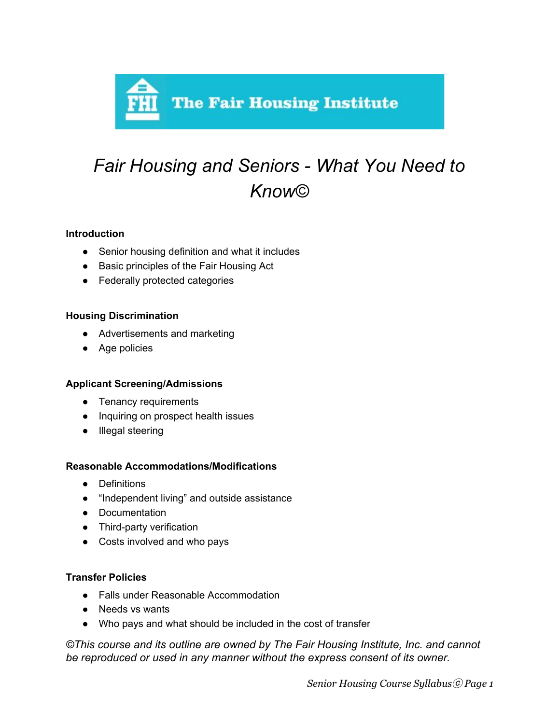

# *Fair Housing and Seniors - What You Need to Know©*

## **Introduction**

- Senior housing definition and what it includes
- Basic principles of the Fair Housing Act
- Federally protected categories

## **Housing Discrimination**

- Advertisements and marketing
- Age policies

# **Applicant Screening/Admissions**

- Tenancy requirements
- Inquiring on prospect health issues
- Illegal steering

#### **Reasonable Accommodations/Modifications**

- Definitions
- "Independent living" and outside assistance
- Documentation
- Third-party verification
- Costs involved and who pays

#### **Transfer Policies**

- Falls under Reasonable Accommodation
- Needs vs wants
- Who pays and what should be included in the cost of transfer

*©This course and its outline are owned by The Fair Housing Institute, Inc. and cannot be reproduced or used in any manner without the express consent of its owner.*